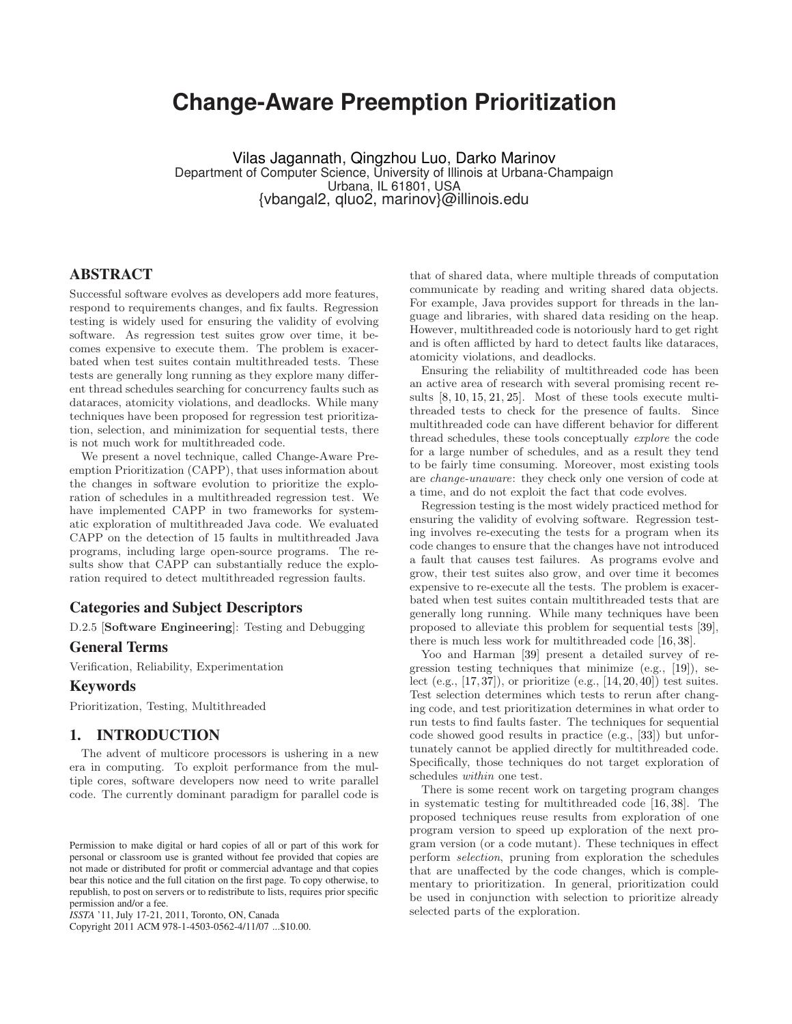# **Change-Aware Preemption Prioritization**

[Vilas Jagannath,](http://www.vilasjagannath.com/) [Qingzhou Luo,](http://fsl.cs.uiuc.edu/index.php/Qingzhou_Luo) [Darko Marinov](http://mir.cs.illinois.edu/~marinov/) Department of Computer Science, University of Illinois at Urbana-Champaign Urbana, IL 61801, USA {vbangal2, qluo2, marinov}@illinois.edu

# **ABSTRACT**

Successful software evolves as developers add more features, respond to requirements changes, and fix faults. Regression testing is widely used for ensuring the validity of evolving software. As regression test suites grow over time, it becomes expensive to execute them. The problem is exacerbated when test suites contain multithreaded tests. These tests are generally long running as they explore many different thread schedules searching for concurrency faults such as dataraces, atomicity violations, and deadlocks. While many techniques have been proposed for regression test prioritization, selection, and minimization for sequential tests, there is not much work for multithreaded code.

We present a novel technique, called Change-Aware Preemption Prioritization (CAPP), that uses information about the changes in software evolution to prioritize the exploration of schedules in a multithreaded regression test. We have implemented CAPP in two frameworks for systematic exploration of multithreaded Java code. We evaluated CAPP on the detection of 15 faults in multithreaded Java programs, including large open-source programs. The results show that CAPP can substantially reduce the exploration required to detect multithreaded regression faults.

### **Categories and Subject Descriptors**

D.2.5 [Software Engineering]: Testing and Debugging

#### **General Terms**

Verification, Reliability, Experimentation

#### **Keywords**

Prioritization, Testing, Multithreaded

### <span id="page-0-0"></span>**1. INTRODUCTION**

The advent of multicore processors is ushering in a new era in computing. To exploit performance from the multiple cores, software developers now need to write parallel code. The currently dominant paradigm for parallel code is

Copyright 2011 ACM 978-1-4503-0562-4/11/07 ...\$10.00.

that of shared data, where multiple threads of computation communicate by reading and writing shared data objects. For example, Java provides support for threads in the language and libraries, with shared data residing on the heap. However, multithreaded code is notoriously hard to get right and is often afflicted by hard to detect faults like dataraces, atomicity violations, and deadlocks.

Ensuring the reliability of multithreaded code has been an active area of research with several promising recent results [\[8,](#page-10-0) [10,](#page-10-1) [15,](#page-10-2) [21,](#page-10-3) [25\]](#page-10-4). Most of these tools execute multithreaded tests to check for the presence of faults. Since multithreaded code can have different behavior for different thread schedules, these tools conceptually *explore* the code for a large number of schedules, and as a result they tend to be fairly time consuming. Moreover, most existing tools are *change-unaware*: they check only one version of code at a time, and do not exploit the fact that code evolves.

Regression testing is the most widely practiced method for ensuring the validity of evolving software. Regression testing involves re-executing the tests for a program when its code changes to ensure that the changes have not introduced a fault that causes test failures. As programs evolve and grow, their test suites also grow, and over time it becomes expensive to re-execute all the tests. The problem is exacerbated when test suites contain multithreaded tests that are generally long running. While many techniques have been proposed to alleviate this problem for sequential tests [\[39\]](#page-10-5), there is much less work for multithreaded code [\[16,](#page-10-6) [38\]](#page-10-7).

Yoo and Harman [\[39\]](#page-10-5) present a detailed survey of regression testing techniques that minimize (e.g., [\[19\]](#page-10-8)), select (e.g.,  $[17, 37]$  $[17, 37]$ ), or prioritize (e.g.,  $[14, 20, 40]$  $[14, 20, 40]$  $[14, 20, 40]$  $[14, 20, 40]$ ) test suites. Test selection determines which tests to rerun after changing code, and test prioritization determines in what order to run tests to find faults faster. The techniques for sequential code showed good results in practice (e.g., [\[33\]](#page-10-14)) but unfortunately cannot be applied directly for multithreaded code. Specifically, those techniques do not target exploration of schedules *within* one test.

There is some recent work on targeting program changes in systematic testing for multithreaded code [\[16,](#page-10-6) [38\]](#page-10-7). The proposed techniques reuse results from exploration of one program version to speed up exploration of the next program version (or a code mutant). These techniques in effect perform *selection*, pruning from exploration the schedules that are unaffected by the code changes, which is complementary to prioritization. In general, prioritization could be used in conjunction with selection to prioritize already selected parts of the exploration.

Permission to make digital or hard copies of all or part of this work for personal or classroom use is granted without fee provided that copies are not made or distributed for profit or commercial advantage and that copies bear this notice and the full citation on the first page. To copy otherwise, to republish, to post on servers or to redistribute to lists, requires prior specific permission and/or a fee.

*ISSTA* '11, July 17-21, 2011, Toronto, ON, Canada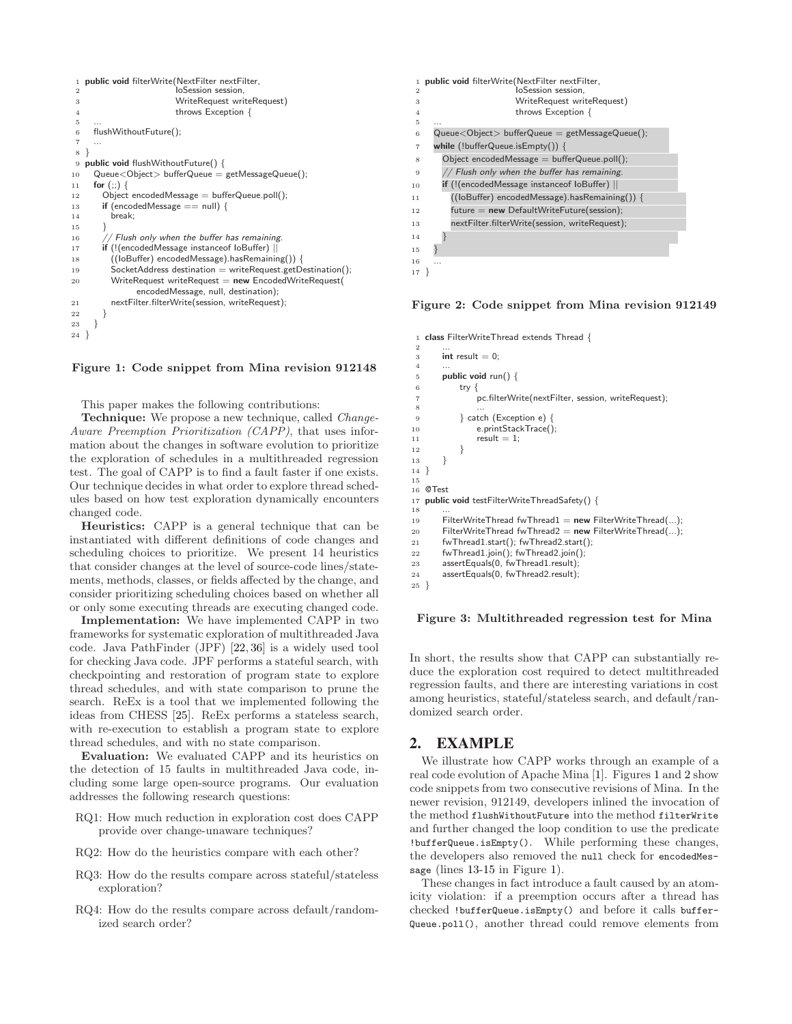```
1 public void filterWrite(NextFilter nextFilter,
                      2 IoSession session,
3 WriteRequest writeRequest)
4 throws Exception {
 5 ...
6 flushWithoutFuture();
 7 ...
8 }
9 public void flushWithoutFuture() {
10 Queue<Object> bufferQueue = getMessageQueue();
11 for (::) {
12 Object encodedMessage = bufferQueue.poll();
13 if (encodedMessage == null) {
14 break;
15 }
16 // Flush only when the buffer has remaining.
17 if (!(encodedMessage instanceof loBuffer) ||
18 ((IoBuffer) encodedMessage).hasRemaining()) {
19 SocketAddress destination = writeRequest.getDestination();
20 WriteRequest writeRequest = new EncodedWriteRequest(
             encodedMessage, null, destination);
21 nextFilter.filterWrite(session, writeRequest);
_{22}23 }
24}
```
<span id="page-1-3"></span>Figure 1: Code snippet from Mina revision 912148

<span id="page-1-0"></span>This paper makes the following contributions:

Technique: We propose a new technique, called *Change-Aware Preemption Prioritization (CAPP)*, that uses information about the changes in software evolution to prioritize the exploration of schedules in a multithreaded regression test. The goal of CAPP is to find a fault faster if one exists. Our technique decides in what order to explore thread schedules based on how test exploration dynamically encounters changed code.

Heuristics: CAPP is a general technique that can be instantiated with different definitions of code changes and scheduling choices to prioritize. We present 14 heuristics that consider changes at the level of source-code lines/statements, methods, classes, or fields affected by the change, and consider prioritizing scheduling choices based on whether all or only some executing threads are executing changed code.

Implementation: We have implemented CAPP in two frameworks for systematic exploration of multithreaded Java code. Java PathFinder (JPF) [\[22,](#page-10-15) [36\]](#page-10-16) is a widely used tool for checking Java code. JPF performs a stateful search, with checkpointing and restoration of program state to explore thread schedules, and with state comparison to prune the search. ReEx is a tool that we implemented following the ideas from CHESS [\[25\]](#page-10-4). ReEx performs a stateless search, with re-execution to establish a program state to explore thread schedules, and with no state comparison.

Evaluation: We evaluated CAPP and its heuristics on the detection of 15 faults in multithreaded Java code, including some large open-source programs. Our evaluation addresses the following research questions:

- RQ1: How much reduction in exploration cost does CAPP provide over change-unaware techniques?
- RQ2: How do the heuristics compare with each other?
- RQ3: How do the results compare across stateful/stateless exploration?
- RQ4: How do the results compare across default/randomized search order?

| 1              | public void filterWrite(NextFilter nextFilter,          |
|----------------|---------------------------------------------------------|
| $\overline{2}$ | loSession session.                                      |
| 3              | WriteRequest writeRequest)                              |
| $\overline{4}$ | throws Exception $\{$                                   |
| 5              | .                                                       |
| 6              | $Queue <$ Object $>$ bufferQueue $=$ getMessageQueue(); |
| $\overline{7}$ | while $(!bufferQueue.isEmpty())$ {                      |
| 8              | Object encodedMessage $=$ bufferQueue.poll();           |
| 9              | // Flush only when the buffer has remaining.            |
| 10             | <b>if</b> (!(encodedMessage instanceof loBuffer)        |
| 11             | $((IoBuffer) encoded Message).hasRemaining())$          |
| 12             | $future = new DefaultWriteFuture(session);$             |
| 13             | nextFilter.filterWrite(session, writeRequest);          |
| 14             |                                                         |
| 1.5            |                                                         |
| 16             |                                                         |
| 17             |                                                         |

<span id="page-1-1"></span>Figure 2: Code snippet from Mina revision 912149

<sup>1</sup> class FilterWriteThread extends Thread {

2 ...  $3$  int result  $= 0$ : 4 ...  $5$  public void run() {  $6$  try { 、<br>pc.filterWrite(nextFilter, session, writeRequest); 8 ... 9 } catch (Exception e) 10 e.printStackTrace();<br>11 result = 1  $result = 1$ ; 12 } 13 }  $14$ 15 16 @Test <sup>17</sup> public void testFilterWriteThreadSafety() { 18 19 FilterWriteThread fwThread1 = new FilterWriteThread(...); 20 FilterWriteThread fwThread2 = new FilterWriteThread(...); 21 fwThread1.start(); fwThread2.start();<br>22 fwThread1.join(): fwThread2.join(): fwThread1.join(); fwThread2.join(); 23 assertEquals(0, fwThread1.result); 24 assertEquals(0, fwThread2.result); 25 }

#### <span id="page-1-4"></span>Figure 3: Multithreaded regression test for Mina

In short, the results show that CAPP can substantially reduce the exploration cost required to detect multithreaded regression faults, and there are interesting variations in cost among heuristics, stateful/stateless search, and default/randomized search order.

#### **2. EXAMPLE**

We illustrate how CAPP works through an example of a real code evolution of Apache Mina [\[1\]](#page-10-17). Figures [1](#page-1-0) and [2](#page-1-1) show code snippets from two consecutive revisions of Mina. In the newer revision, 912149, developers inlined the invocation of the method flushWithoutFuture into the method filterWrite and further changed the loop condition to use the predicate !bufferQueue.isEmpty(). While performing these changes, the developers also removed the null check for encodedMessage (lines [13-](#page-1-2)[15](#page-1-3) in Figure [1\)](#page-1-0).

These changes in fact introduce a fault caused by an atomicity violation: if a preemption occurs after a thread has checked !bufferQueue.isEmpty() and before it calls buffer-Queue.poll(), another thread could remove elements from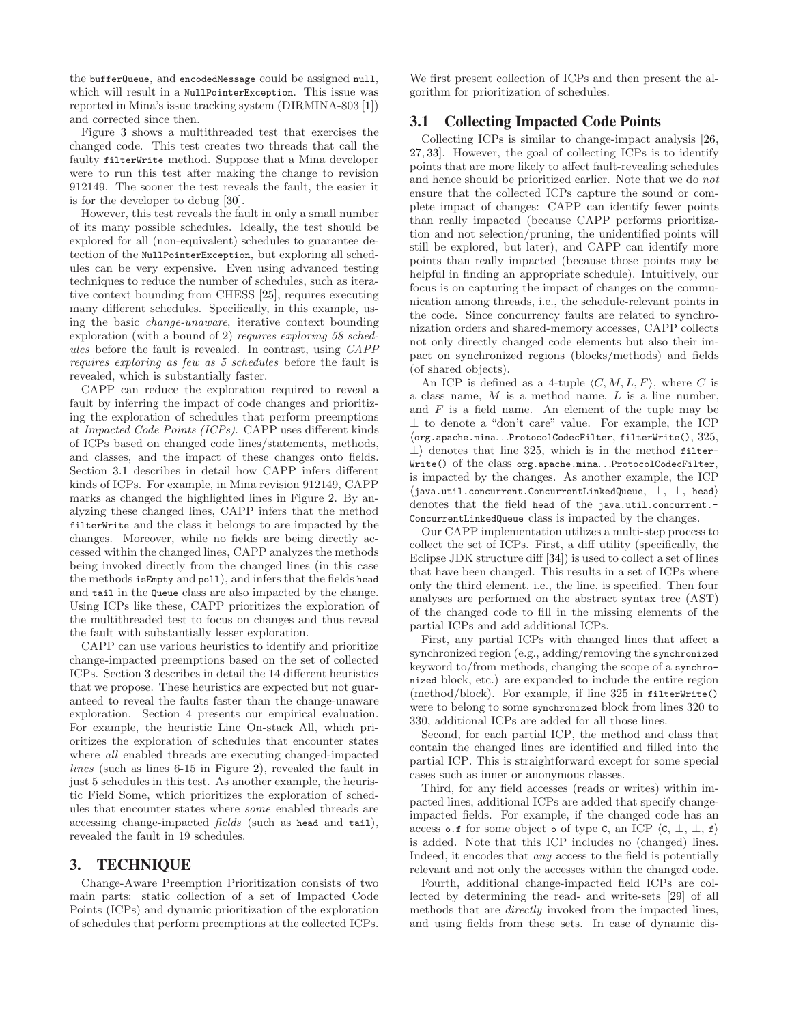the bufferQueue, and encodedMessage could be assigned null, which will result in a NullPointerException. This issue was reported in Mina's issue tracking system (DIRMINA-803 [\[1\]](#page-10-17)) and corrected since then.

Figure [3](#page-1-4) shows a multithreaded test that exercises the changed code. This test creates two threads that call the faulty filterWrite method. Suppose that a Mina developer were to run this test after making the change to revision 912149. The sooner the test reveals the fault, the easier it is for the developer to debug [\[30\]](#page-10-18).

However, this test reveals the fault in only a small number of its many possible schedules. Ideally, the test should be explored for all (non-equivalent) schedules to guarantee detection of the NullPointerException, but exploring all schedules can be very expensive. Even using advanced testing techniques to reduce the number of schedules, such as iterative context bounding from CHESS [\[25\]](#page-10-4), requires executing many different schedules. Specifically, in this example, using the basic *change-unaware*, iterative context bounding exploration (with a bound of 2) *requires exploring 58 schedules* before the fault is revealed. In contrast, using *CAPP requires exploring as few as 5 schedules* before the fault is revealed, which is substantially faster.

CAPP can reduce the exploration required to reveal a fault by inferring the impact of code changes and prioritizing the exploration of schedules that perform preemptions at *Impacted Code Points (ICPs)*. CAPP uses different kinds of ICPs based on changed code lines/statements, methods, and classes, and the impact of these changes onto fields. Section [3.1](#page-2-0) describes in detail how CAPP infers different kinds of ICPs. For example, in Mina revision 912149, CAPP marks as changed the highlighted lines in Figure [2.](#page-1-1) By analyzing these changed lines, CAPP infers that the method filterWrite and the class it belongs to are impacted by the changes. Moreover, while no fields are being directly accessed within the changed lines, CAPP analyzes the methods being invoked directly from the changed lines (in this case the methods isEmpty and poll), and infers that the fields head and tail in the Queue class are also impacted by the change. Using ICPs like these, CAPP prioritizes the exploration of the multithreaded test to focus on changes and thus reveal the fault with substantially lesser exploration.

CAPP can use various heuristics to identify and prioritize change-impacted preemptions based on the set of collected ICPs. Section [3](#page-2-1) describes in detail the 14 different heuristics that we propose. These heuristics are expected but not guaranteed to reveal the faults faster than the change-unaware exploration. Section [4](#page-4-0) presents our empirical evaluation. For example, the heuristic Line On-stack All, which prioritizes the exploration of schedules that encounter states where *all* enabled threads are executing changed-impacted *lines* (such as lines 6-15 in Figure [2\)](#page-1-1), revealed the fault in just 5 schedules in this test. As another example, the heuristic Field Some, which prioritizes the exploration of schedules that encounter states where *some* enabled threads are accessing change-impacted *fields* (such as head and tail), revealed the fault in 19 schedules.

#### <span id="page-2-1"></span>**3. TECHNIQUE**

Change-Aware Preemption Prioritization consists of two main parts: static collection of a set of Impacted Code Points (ICPs) and dynamic prioritization of the exploration of schedules that perform preemptions at the collected ICPs.

We first present collection of ICPs and then present the algorithm for prioritization of schedules.

## <span id="page-2-0"></span>**3.1 Collecting Impacted Code Points**

Collecting ICPs is similar to change-impact analysis [\[26,](#page-10-19) [27,](#page-10-20) [33\]](#page-10-14). However, the goal of collecting ICPs is to identify points that are more likely to affect fault-revealing schedules and hence should be prioritized earlier. Note that we do *not* ensure that the collected ICPs capture the sound or complete impact of changes: CAPP can identify fewer points than really impacted (because CAPP performs prioritization and not selection/pruning, the unidentified points will still be explored, but later), and CAPP can identify more points than really impacted (because those points may be helpful in finding an appropriate schedule). Intuitively, our focus is on capturing the impact of changes on the communication among threads, i.e., the schedule-relevant points in the code. Since concurrency faults are related to synchronization orders and shared-memory accesses, CAPP collects not only directly changed code elements but also their impact on synchronized regions (blocks/methods) and fields (of shared objects).

An ICP is defined as a 4-tuple  $\langle C, M, L, F \rangle$ , where C is a class name,  $M$  is a method name,  $L$  is a line number, and  $F$  is a field name. An element of the tuple may be ⊥ to denote a "don't care" value. For example, the ICP  $\langle$ org.apache.mina. . .ProtocolCodecFilter, filterWrite(), 325,  $\perp$  denotes that line 325, which is in the method filter-Write() of the class org.apache.mina. . .ProtocolCodecFilter, is impacted by the changes. As another example, the ICP  $\langle$ java.util.concurrent.ConcurrentLinkedQueue,  $\bot, \bot,$  head $\rangle$ denotes that the field head of the java.util.concurrent.- ConcurrentLinkedQueue class is impacted by the changes.

Our CAPP implementation utilizes a multi-step process to collect the set of ICPs. First, a diff utility (specifically, the Eclipse JDK structure diff [\[34\]](#page-10-21)) is used to collect a set of lines that have been changed. This results in a set of ICPs where only the third element, i.e., the line, is specified. Then four analyses are performed on the abstract syntax tree (AST) of the changed code to fill in the missing elements of the partial ICPs and add additional ICPs.

First, any partial ICPs with changed lines that affect a synchronized region (e.g., adding/removing the synchronized keyword to/from methods, changing the scope of a synchronized block, etc.) are expanded to include the entire region (method/block). For example, if line 325 in filterWrite() were to belong to some synchronized block from lines 320 to 330, additional ICPs are added for all those lines.

Second, for each partial ICP, the method and class that contain the changed lines are identified and filled into the partial ICP. This is straightforward except for some special cases such as inner or anonymous classes.

Third, for any field accesses (reads or writes) within impacted lines, additional ICPs are added that specify changeimpacted fields. For example, if the changed code has an access o.f for some object o of type C, an ICP  $\langle C, \perp, \perp, f \rangle$ is added. Note that this ICP includes no (changed) lines. Indeed, it encodes that *any* access to the field is potentially relevant and not only the accesses within the changed code.

Fourth, additional change-impacted field ICPs are collected by determining the read- and write-sets [\[29\]](#page-10-22) of all methods that are *directly* invoked from the impacted lines, and using fields from these sets. In case of dynamic dis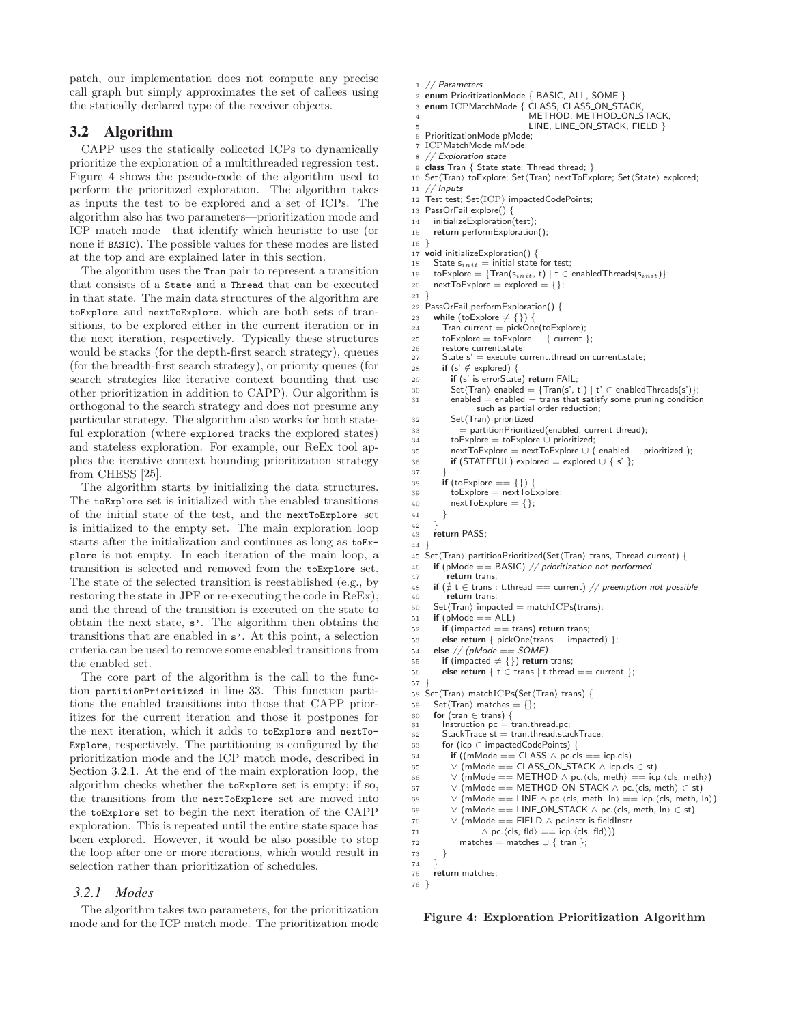patch, our implementation does not compute any precise call graph but simply approximates the set of callees using the statically declared type of the receiver objects.

#### **3.2 Algorithm**

CAPP uses the statically collected ICPs to dynamically prioritize the exploration of a multithreaded regression test. Figure [4](#page-3-0) shows the pseudo-code of the algorithm used to perform the prioritized exploration. The algorithm takes as inputs the test to be explored and a set of ICPs. The algorithm also has two parameters—prioritization mode and ICP match mode—that identify which heuristic to use (or none if BASIC). The possible values for these modes are listed at the top and are explained later in this section.

The algorithm uses the Tran pair to represent a transition that consists of a State and a Thread that can be executed in that state. The main data structures of the algorithm are toExplore and nextToExplore, which are both sets of transitions, to be explored either in the current iteration or in the next iteration, respectively. Typically these structures would be stacks (for the depth-first search strategy), queues (for the breadth-first search strategy), or priority queues (for search strategies like iterative context bounding that use other prioritization in addition to CAPP). Our algorithm is orthogonal to the search strategy and does not presume any particular strategy. The algorithm also works for both stateful exploration (where explored tracks the explored states) and stateless exploration. For example, our ReEx tool applies the iterative context bounding prioritization strategy from CHESS [\[25\]](#page-10-4).

The algorithm starts by initializing the data structures. The toExplore set is initialized with the enabled transitions of the initial state of the test, and the nextToExplore set is initialized to the empty set. The main exploration loop starts after the initialization and continues as long as toExplore is not empty. In each iteration of the main loop, a transition is selected and removed from the toExplore set. The state of the selected transition is reestablished (e.g., by restoring the state in JPF or re-executing the code in ReEx), and the thread of the transition is executed on the state to obtain the next state, s'. The algorithm then obtains the transitions that are enabled in s'. At this point, a selection criteria can be used to remove some enabled transitions from the enabled set.

The core part of the algorithm is the call to the function partitionPrioritized in line [33.](#page-3-1) This function partitions the enabled transitions into those that CAPP prioritizes for the current iteration and those it postpones for the next iteration, which it adds to toExplore and nextTo-Explore, respectively. The partitioning is configured by the prioritization mode and the ICP match mode, described in Section [3.2.1.](#page-3-2) At the end of the main exploration loop, the algorithm checks whether the toExplore set is empty; if so, the transitions from the nextToExplore set are moved into the toExplore set to begin the next iteration of the CAPP exploration. This is repeated until the entire state space has been explored. However, it would be also possible to stop the loop after one or more iterations, which would result in selection rather than prioritization of schedules.

#### <span id="page-3-2"></span>*3.2.1 Modes*

The algorithm takes two parameters, for the prioritization mode and for the ICP match mode. The prioritization mode

- 1 // Parameters
- <sup>2</sup> enum PrioritizationMode { BASIC, ALL, SOME }
- 3 enum ICPMatchMode { CLASS, CLASS\_ON\_STACK,
	- METHOD, METHOD\_ON\_STACK,
- 5<br>6 PrioritizationMode pMode:<br>6 PrioritizationMode pMode:
- 6 PrioritizationMode pMode;<br>7 ICPMatchMode mMode: ICPMatchMode mMode:
- 
- // Exploration state
- class Tran { State state; Thread thread; }
- 10 Set (Tran) toExplore; Set (Tran) nextToExplore; Set (State) explored;
- 11 // Inputs
- 12 Test test; Set $\langle \text{ICP} \rangle$  impactedCodePoints;
- 13 PassOrFail explore() {
- initializeExploration(test);
- <sup>15</sup> return performExploration();
- 16 }
- 
- 17 **void** initializeExploration() {<br>18 State  $s_{init}$  = initial state for test;
- 19 toExplore = { $\text{Tran}(s_{init}, t) | t \in \text{enabeledThread}(s_{init})$ };
- ${\small \begin{array}{l} 20 \quad \text{nextToExplore} = \text{explored} = \{\}; \end{array}}$
- 21 }
- 
- 22 PassOrFail performExploration() {<br>23 while (toExplore  $\neq \{\}$ ) { while (toExplore  $\neq$  {}) {
- $24$  Tran current = pickOne(toExplore);
- 25 toExplore = toExplore  $-$  { current };<br>26 restore current state:
- 
- 26 restore current.state;<br>27 State s' = execute c 27 State s' = execute current.thread on current.state;<br>28 if (s'  $\notin$  explored) {
- if (s'  $\notin$  explored) {
- <sup>29</sup> if (s' is errorState) return FAIL;
- 30 Set $\langle$ Tran $\rangle$  enabled = {Tran(s', t') | t'  $\in$  enabledThreads(s')};
- $31$  enabled = enabled − trans that satisfy some pruning condition
	- such as partial order reduction;
- 32 Set $\langle$ Tran $\rangle$  prioritized
- 33  $=$  partitionPrioritized(enabled, current.thread);<br>34  $\qquad \qquad$  to Explore  $=$  to Explore  $\cup$  prioritized;
- <span id="page-3-1"></span>toExplore = toExplore ∪ prioritized;
- 35 nextToExplore = nextToExplore ∪ ( enabled − prioritized );
- 36 **if (STATEFUL)** explored = explored  $\cup$  { s' };
- 37 }
- 38 **if** (toExplore ==  $\{\}\$ ) {<br>39 toExplore = nextToExplore;
- 40 **nextToExplore** = {};
- 41 }
- 42 }
- 43 return PASS:
- 44 }
- 45 Set (Tran) partitionPrioritized(Set (Tran) trans, Thread current) {
- 46 if (pMode  $==$  BASIC) // prioritization not performed 47
- return trans; 48 if ( $\sharp$  t ∈ trans : t.thread == current) // preemption not possible return trans:
- <span id="page-3-4"></span><span id="page-3-3"></span>return trans;
- 50 Set $\langle$ Tran $\rangle$  impacted = matchICPs(trans);<br>51 if (pMode == ALL)  $if (pMode == ALL)$
- $52$  if (impacted  $==$  trans) return trans;
- <sup>53</sup> else return { pickOne(trans − impacted) };
- 54 else //  $(pMode == SOME)$
- 55 if (impacted  $\neq \{\}$ ) return trans;
- 56 else return  $\{ t \in \text{trans} \mid t.\text{thread} == \text{current} \};$
- 57 }
- 58 Set (Tran) matchICPs(Set (Tran) trans) {
- 59  $Set\langle Tran\rangle$  matches  $=\{\};$
- 
- 60 **for** (tran ∈ trans) {<br>61 **Instruction pc** = tran.thread.pc;
- 62 StackTrace st = tran.thread.stackTrace;
- 63 for (icp  $\in$  impacted CodePoints) {
- 64 if  $((mMode == CLASS \land pc.class == cop.class)$ 65  $∨\ (mMode == CLASS\ ON\ STACK \land icp\ cis \in st)$ 
	-
- 66  $\lor$  (mMode == METHOD  $\land$  pc. $\langle$ cls, meth $\rangle$  == icp. $\langle$ cls, meth $\rangle$ ) 67  $\lor$  (mMode == METHOD\_ON\_STACK  $\land$  pc. (cls, meth)  $\in$  st)
- 68  $\lor$  (mMode == LINE  $\land$  pc. (cls, meth, ln) == icp. (cls, meth, ln))
- 69  $\lor$  (mMode == LINE\_ON\_STACK  $\land$  pc. (cls, meth, ln)  $\in$  st)
- 70  $∨$  (mMode == FIELD  $∧$  pc.instr is fieldInstr
- 71  $\wedge$  pc.  $\langle$ cls, fld $\rangle$  == icp.  $\langle$ cls, fld $\rangle$ ))
- $72$  matches = matches ∪ { tran };
- 73 }
- $\frac{74}{75}$ return matches;
- 76 }

<span id="page-3-0"></span>Figure 4: Exploration Prioritization Algorithm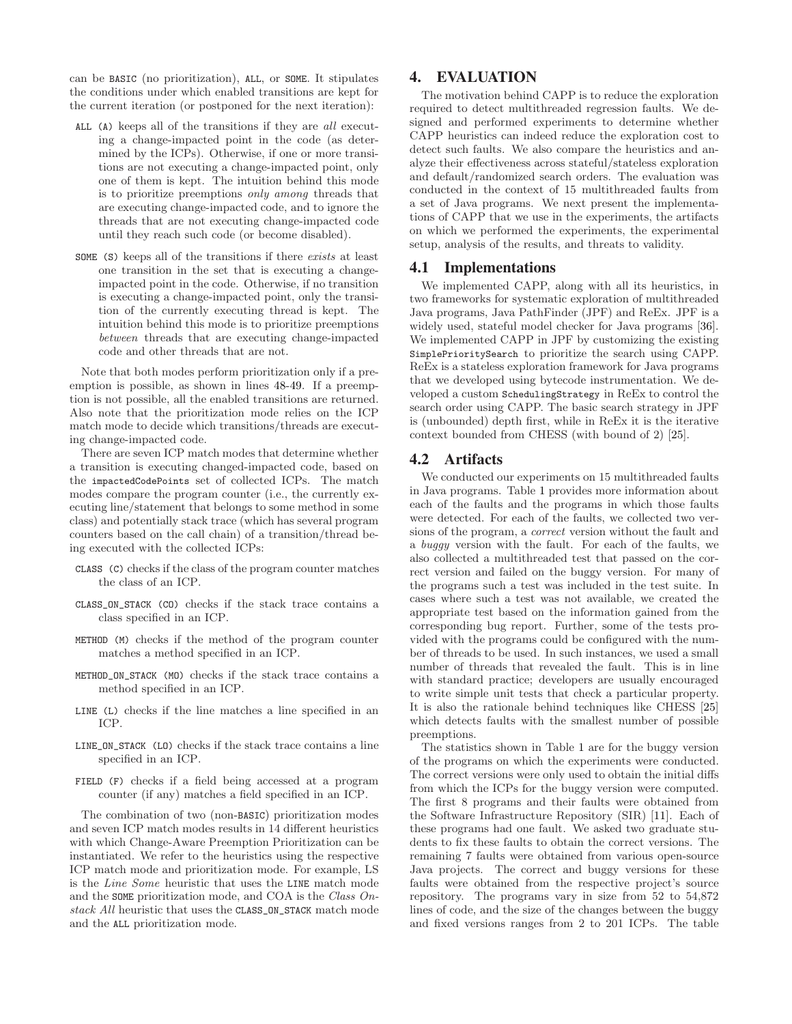can be BASIC (no prioritization), ALL, or SOME. It stipulates the conditions under which enabled transitions are kept for the current iteration (or postponed for the next iteration):

- ALL (A) keeps all of the transitions if they are *all* executing a change-impacted point in the code (as determined by the ICPs). Otherwise, if one or more transitions are not executing a change-impacted point, only one of them is kept. The intuition behind this mode is to prioritize preemptions *only among* threads that are executing change-impacted code, and to ignore the threads that are not executing change-impacted code until they reach such code (or become disabled).
- SOME (S) keeps all of the transitions if there *exists* at least one transition in the set that is executing a changeimpacted point in the code. Otherwise, if no transition is executing a change-impacted point, only the transition of the currently executing thread is kept. The intuition behind this mode is to prioritize preemptions *between* threads that are executing change-impacted code and other threads that are not.

Note that both modes perform prioritization only if a preemption is possible, as shown in lines [48](#page-3-3)[-49.](#page-3-4) If a preemption is not possible, all the enabled transitions are returned. Also note that the prioritization mode relies on the ICP match mode to decide which transitions/threads are executing change-impacted code.

There are seven ICP match modes that determine whether a transition is executing changed-impacted code, based on the impactedCodePoints set of collected ICPs. The match modes compare the program counter (i.e., the currently executing line/statement that belongs to some method in some class) and potentially stack trace (which has several program counters based on the call chain) of a transition/thread being executed with the collected ICPs:

- CLASS (C) checks if the class of the program counter matches the class of an ICP.
- CLASS\_ON\_STACK (CO) checks if the stack trace contains a class specified in an ICP.
- METHOD (M) checks if the method of the program counter matches a method specified in an ICP.
- METHOD\_ON\_STACK (MO) checks if the stack trace contains a method specified in an ICP.
- LINE (L) checks if the line matches a line specified in an ICP.
- LINE\_ON\_STACK (LO) checks if the stack trace contains a line specified in an ICP.
- FIELD (F) checks if a field being accessed at a program counter (if any) matches a field specified in an ICP.

The combination of two (non-BASIC) prioritization modes and seven ICP match modes results in 14 different heuristics with which Change-Aware Preemption Prioritization can be instantiated. We refer to the heuristics using the respective ICP match mode and prioritization mode. For example, LS is the *Line Some* heuristic that uses the LINE match mode and the SOME prioritization mode, and COA is the *Class Onstack All* heuristic that uses the CLASS\_ON\_STACK match mode and the ALL prioritization mode.

# <span id="page-4-0"></span>**4. EVALUATION**

The motivation behind CAPP is to reduce the exploration required to detect multithreaded regression faults. We designed and performed experiments to determine whether CAPP heuristics can indeed reduce the exploration cost to detect such faults. We also compare the heuristics and analyze their effectiveness across stateful/stateless exploration and default/randomized search orders. The evaluation was conducted in the context of 15 multithreaded faults from a set of Java programs. We next present the implementations of CAPP that we use in the experiments, the artifacts on which we performed the experiments, the experimental setup, analysis of the results, and threats to validity.

#### **4.1 Implementations**

We implemented CAPP, along with all its heuristics, in two frameworks for systematic exploration of multithreaded Java programs, Java PathFinder (JPF) and ReEx. JPF is a widely used, stateful model checker for Java programs [\[36\]](#page-10-16). We implemented CAPP in JPF by customizing the existing SimplePrioritySearch to prioritize the search using CAPP. ReEx is a stateless exploration framework for Java programs that we developed using bytecode instrumentation. We developed a custom SchedulingStrategy in ReEx to control the search order using CAPP. The basic search strategy in JPF is (unbounded) depth first, while in ReEx it is the iterative context bounded from CHESS (with bound of 2) [\[25\]](#page-10-4).

## **4.2 Artifacts**

We conducted our experiments on 15 multithreaded faults in Java programs. Table [1](#page-5-0) provides more information about each of the faults and the programs in which those faults were detected. For each of the faults, we collected two versions of the program, a *correct* version without the fault and a *buggy* version with the fault. For each of the faults, we also collected a multithreaded test that passed on the correct version and failed on the buggy version. For many of the programs such a test was included in the test suite. In cases where such a test was not available, we created the appropriate test based on the information gained from the corresponding bug report. Further, some of the tests provided with the programs could be configured with the number of threads to be used. In such instances, we used a small number of threads that revealed the fault. This is in line with standard practice; developers are usually encouraged to write simple unit tests that check a particular property. It is also the rationale behind techniques like CHESS [\[25\]](#page-10-4) which detects faults with the smallest number of possible preemptions.

The statistics shown in Table [1](#page-5-0) are for the buggy version of the programs on which the experiments were conducted. The correct versions were only used to obtain the initial diffs from which the ICPs for the buggy version were computed. The first 8 programs and their faults were obtained from the Software Infrastructure Repository (SIR) [\[11\]](#page-10-23). Each of these programs had one fault. We asked two graduate students to fix these faults to obtain the correct versions. The remaining 7 faults were obtained from various open-source Java projects. The correct and buggy versions for these faults were obtained from the respective project's source repository. The programs vary in size from 52 to 54,872 lines of code, and the size of the changes between the buggy and fixed versions ranges from 2 to 201 ICPs. The table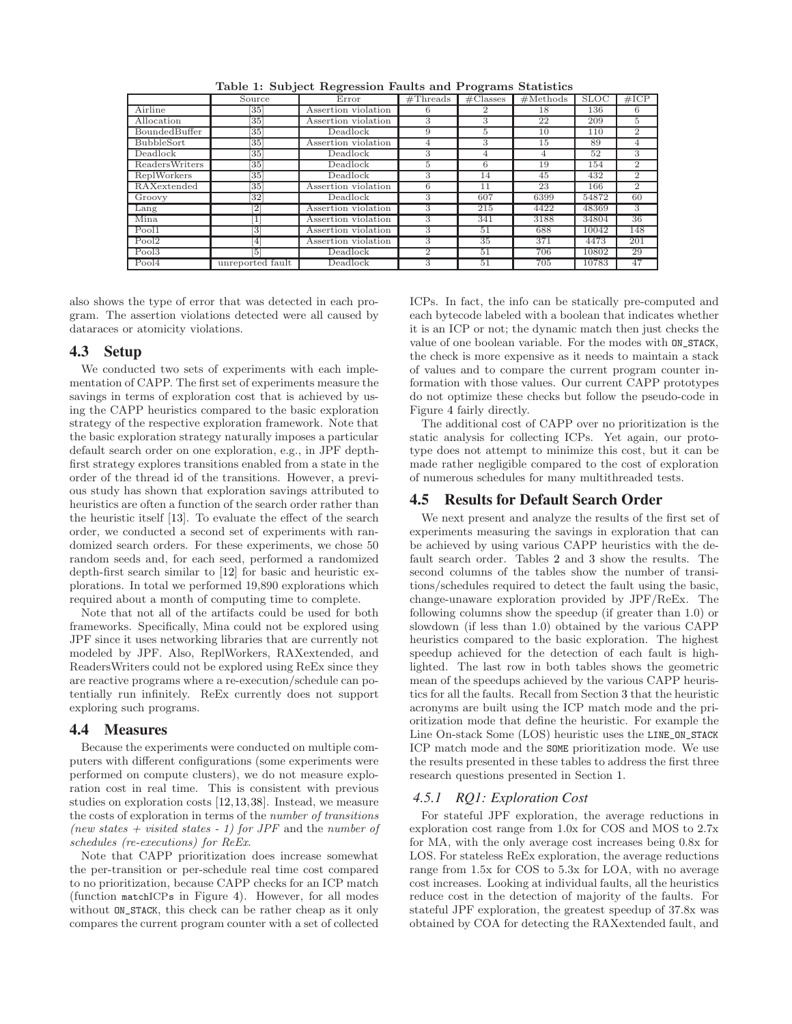|                   | Source                       | Error               | #Threads       | $\pm$ Classes | #Methods | <b>SLOC</b> | #ICP           |
|-------------------|------------------------------|---------------------|----------------|---------------|----------|-------------|----------------|
| Airline           | [35]                         | Assertion violation | 6              | 2             | 18       | 136         | 6              |
| Allocation        | $\sqrt{35}$                  | Assertion violation | 3              | 3             | 22       | 209         | 5              |
| BoundedBuffer     | $\sqrt{35}$                  | Deadlock            | 9              | 5             | 10       | 110         | $\overline{2}$ |
| BubbleSort        | $\sqrt{35}$                  | Assertion violation | 4              | 3             | 15       | 89          | 4              |
| Deadlock          | $\sqrt{35}$                  | Deadlock            | 3              | 4             | 4        | 52          | 3              |
| ReadersWriters    | [35]                         | Deadlock            | 5              | 6             | 19       | 154         | $\overline{2}$ |
| ReplWorkers       | $\sqrt{35}$                  | Deadlock            | 3              | 14            | 45       | 432         | $\overline{2}$ |
| RAXextended       | [35]                         | Assertion violation | 6              | 11            | 23       | 166         | $\overline{2}$ |
| Groovy            | $\left\lceil 32\right\rceil$ | Deadlock            | 3              | 607           | 6399     | 54872       | 60             |
| $\rm Lang$        | $^{2}$                       | Assertion violation | 3              | 215           | 4422     | 48369       | 3              |
| Mina              |                              | Assertion violation | 3              | 341           | 3188     | 34804       | 36             |
| Pool1             | $\overline{3}$               | Assertion violation | 3              | 51            | 688      | 10042       | 148            |
| Pool <sub>2</sub> | 41                           | Assertion violation | 3              | 35            | 371      | 4473        | 201            |
| Pool <sub>3</sub> | 51                           | Deadlock            | $\overline{2}$ | 51            | 706      | 10802       | 29             |
| Pool4             | unreported fault             | Deadlock            | 3              | 51            | 705      | 10783       | 47             |

<span id="page-5-0"></span>Table 1: Subject Regression Faults and Programs Statistics

also shows the type of error that was detected in each program. The assertion violations detected were all caused by dataraces or atomicity violations.

#### **4.3 Setup**

We conducted two sets of experiments with each implementation of CAPP. The first set of experiments measure the savings in terms of exploration cost that is achieved by using the CAPP heuristics compared to the basic exploration strategy of the respective exploration framework. Note that the basic exploration strategy naturally imposes a particular default search order on one exploration, e.g., in JPF depthfirst strategy explores transitions enabled from a state in the order of the thread id of the transitions. However, a previous study has shown that exploration savings attributed to heuristics are often a function of the search order rather than the heuristic itself [\[13\]](#page-10-30). To evaluate the effect of the search order, we conducted a second set of experiments with randomized search orders. For these experiments, we chose 50 random seeds and, for each seed, performed a randomized depth-first search similar to [\[12\]](#page-10-31) for basic and heuristic explorations. In total we performed 19,890 explorations which required about a month of computing time to complete.

Note that not all of the artifacts could be used for both frameworks. Specifically, Mina could not be explored using JPF since it uses networking libraries that are currently not modeled by JPF. Also, ReplWorkers, RAXextended, and ReadersWriters could not be explored using ReEx since they are reactive programs where a re-execution/schedule can potentially run infinitely. ReEx currently does not support exploring such programs.

#### **4.4 Measures**

Because the experiments were conducted on multiple computers with different configurations (some experiments were performed on compute clusters), we do not measure exploration cost in real time. This is consistent with previous studies on exploration costs [\[12,](#page-10-31)[13,](#page-10-30)[38\]](#page-10-7). Instead, we measure the costs of exploration in terms of the *number of transitions (new states + visited states - 1) for JPF* and the *number of schedules (re-executions) for ReEx*.

Note that CAPP prioritization does increase somewhat the per-transition or per-schedule real time cost compared to no prioritization, because CAPP checks for an ICP match (function matchICPs in Figure [4\)](#page-3-0). However, for all modes without  $ON\_STACK$ , this check can be rather cheap as it only compares the current program counter with a set of collected

ICPs. In fact, the info can be statically pre-computed and each bytecode labeled with a boolean that indicates whether it is an ICP or not; the dynamic match then just checks the value of one boolean variable. For the modes with ON\_STACK, the check is more expensive as it needs to maintain a stack of values and to compare the current program counter information with those values. Our current CAPP prototypes do not optimize these checks but follow the pseudo-code in Figure [4](#page-3-0) fairly directly.

The additional cost of CAPP over no prioritization is the static analysis for collecting ICPs. Yet again, our prototype does not attempt to minimize this cost, but it can be made rather negligible compared to the cost of exploration of numerous schedules for many multithreaded tests.

#### **4.5 Results for Default Search Order**

We next present and analyze the results of the first set of experiments measuring the savings in exploration that can be achieved by using various CAPP heuristics with the default search order. Tables [2](#page-6-0) and [3](#page-6-1) show the results. The second columns of the tables show the number of transitions/schedules required to detect the fault using the basic, change-unaware exploration provided by JPF/ReEx. The following columns show the speedup (if greater than 1.0) or slowdown (if less than 1.0) obtained by the various CAPP heuristics compared to the basic exploration. The highest speedup achieved for the detection of each fault is highlighted. The last row in both tables shows the geometric mean of the speedups achieved by the various CAPP heuristics for all the faults. Recall from Section [3](#page-2-1) that the heuristic acronyms are built using the ICP match mode and the prioritization mode that define the heuristic. For example the Line On-stack Some (LOS) heuristic uses the LINE\_ON\_STACK ICP match mode and the SOME prioritization mode. We use the results presented in these tables to address the first three research questions presented in Section [1.](#page-0-0)

#### *4.5.1 RQ1: Exploration Cost*

For stateful JPF exploration, the average reductions in exploration cost range from 1.0x for COS and MOS to 2.7x for MA, with the only average cost increases being 0.8x for LOS. For stateless ReEx exploration, the average reductions range from 1.5x for COS to 5.3x for LOA, with no average cost increases. Looking at individual faults, all the heuristics reduce cost in the detection of majority of the faults. For stateful JPF exploration, the greatest speedup of 37.8x was obtained by COA for detecting the RAXextended fault, and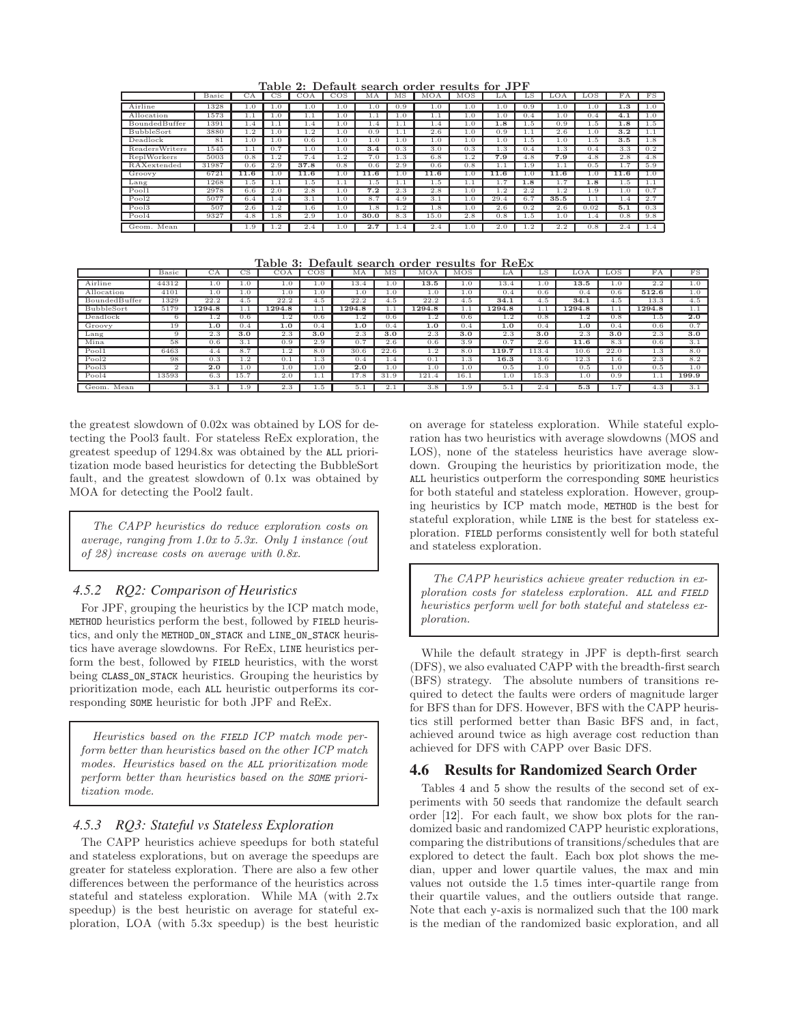<span id="page-6-0"></span>Table 2: Default search order results for JPF

|                   | Basic | СA   | $_{\rm CS}$ | COA     | $\cos$ | МA   | MS  | MOA        | MOS | LΑ               | LS. | LOA  | LOS  | FA   | $_{\rm FS}$ |
|-------------------|-------|------|-------------|---------|--------|------|-----|------------|-----|------------------|-----|------|------|------|-------------|
| Airline           | 1328  | 1.0  | 1.0         | 0.1     | 1.0    | 1.0  | 0.9 | 1.0        | 1.0 | 1.0              | 0.9 |      | 1.0  | 1.3  | 1.0         |
| Allocation        | 1573  | 1.1  | 1.0         | 1.1     | 1.0    | 1.1  | 1.0 | <b>L.J</b> | 1.0 | 1.0              | 0.4 | 1.0  | 0.4  | 4.1  | 1.0         |
| BoundedBuffer     | 1391  | 1.4  | 1.1         | 1.4     | 1.0    | 1.4  | 1.1 | 1.4        | 1.0 | 1.8              | 1.5 | 0.9  | 1.5  | 1.8  | 1.5         |
| <b>BubbleSort</b> | 3880  | 1.2  | 1.0         | 1.2     | 1.0    | 0.9  | 1.1 | 2.6        | 1.0 | 0.9              | 1.1 | 2.6  | 1.0  | 3.2  | 1.1         |
| Deadlock          | 81    | 1.0  | 1.0         | 0.6     | 1.0    | 1.0  | 1.0 | 1.0        | 1.0 | 1.0              | 1.5 | 1.0  | 1.5  | 3.5  | 1.8         |
| ReadersWriters    | 1545  | 1.1  | 0.7         | 1.0     | 1.0    | 3.4  | 0.3 | 3.0        | 0.3 | $\overline{1.3}$ | 0.4 | 1.3  | 0.4  | 3.3  | 0.2         |
| ReplWorkers       | 5003  | 0.8  | 1.2         | 7.4     | 1.2    | 7.0  | 1.3 | 6.8        | 1.2 | 7.9              | 4.8 | 7.9  | 4.8  | 2.8  | 4.8         |
| RAXextended       | 31987 | 0.6  | 2.9         | 37.8    | 0.8    | 0.6  | 2.9 | 0.6        | 0.8 | 1.1              | 1.9 | 1.1  | 0.5  | 1.7  | 5.9         |
| Groovy            | 6721  | 11.6 | 1.0         | 11.6    | 1.0    | 11.6 | 1.0 | 11.6       | 1.0 | 11.6             | 1.0 | 11.6 | 1.0  | 11.6 | 1.0         |
| Lang              | 1268  | 1.5  | 1.1         | $1.5\,$ | 1.1    | 1.5  | 1.1 | 1.5        | 1.1 | $\overline{1.7}$ | 1.8 | ı.   | 1.8  | 1.5  | 1.1         |
| Pool1             | 2978  | 6.6  | 2.0         | 2.8     | 1.0    | 7.2  | 2.3 | 2.8        | 1.0 | 1.2              | 2.2 | 1.2  | 1.9  | 1.0  | 0.7         |
| Pool <sub>2</sub> | 5077  | 6.4  | 1.4         | 3.1     | 1.0    | 8.7  | 4.9 | 3.1        | 1.0 | 29.4             | 6.7 | 35.5 | 1.1  | 1.4  | 2.7         |
| Pool3             | 507   | 2.6  | 1.2         | 1.6     | 1.0    | 1.8  | 1.2 | 1.8        | 1.0 | 2.6              | 0.2 | 2.6  | 0.02 | 5.1  | 0.3         |
| Pool4             | 9327  | 4.8  | 1.8         | 2.9     | 1.0    | 30.0 | 8.3 | 15.0       | 2.8 | 0.8              | 1.5 | 1.0  | 1.4  | 0.8  | 9.8         |
| Geom. Mean        |       | 1.9  | 1.2         | 2.4     | 1.C    | 2.7  | 1.4 | 2.4        | 1.0 | 2.0              | 1.2 | 2.2  | 0.8  | 2.4  | 1.4         |

<span id="page-6-1"></span>

| Table 3: Default search order results for ReEx |  |  |  |
|------------------------------------------------|--|--|--|
|                                                |  |  |  |

|                   | Basic | СA     | CS               | COA    | COS           | ΜA     | MS              | МОА    | MOS  | LΑ     | LS            | LOA    | LOS     | FΑ     | FS    |
|-------------------|-------|--------|------------------|--------|---------------|--------|-----------------|--------|------|--------|---------------|--------|---------|--------|-------|
| Airline           | 44312 | 1.0    | 1.0              | 1.0    | 1.0           | 13.4   | 1.0             | 13.5   | 1.0  | 13.4   | 1.0           | 13.5   | 1.0     | 2.2    | 1.0   |
| Allocation        | 4101  | 1.0    | $\overline{0}$ . | 1.0    | 1.0           | 1.0    | 1.0             | 0.1    | 1.0  | 0.4    | 0.6           | 0.4    | 0.6     | 512.6  | 1.0   |
| BoundedBuffer     | 1329  | 22.2   | 4.5              | 22.2   | 4.5           | 22.2   | 4.5             | 22.2   | 4.5  | 34.1   | 4.5           | 34.1   | 4.5     | 13.3   | 4.5   |
| BubbleSort        | 5179  | 1294.8 | . . 1            | 1294.8 | 1.            | 1294.8 | 1.1             | 1294.8 | 1.1  | 1294.8 | 1.1           | 1294.8 | 1.      | 1294.8 | 1.1   |
| Deadlock          |       | 1.2    | 0.6              | 1.2    | 0.6           | 1.2    | 0.6             | 1.2    | 0.6  | 1.2    | 0.8           | 1.2    | 0.8     | 1.5    | 2.0   |
| Groovy            | 19    | 1.0    | 0.4              | 1.0    | 0.4           | 1.0    | 0.4             | 1.0    | 0.4  | 1.0    | 0.4           | 1.0    | 0.4     | 0.6    | 0.7   |
| Lang              |       | 2.3    | 3.0              | 2.3    | 3.0           | 2.3    | 3.0             | 2.3    | 3.0  | 2.3    | 3.0           | 2.3    | 3.0     | 2.3    | 3.0   |
| Mina              | 58    | 0.6    | 3.1              | 0.9    | 2.9           | 0.7    | 2.6             | 0.6    | 3.9  | 0.7    | 2.6           | 11.6   | 8.3     | 0.6    | 3.1   |
| Pool1             | 6463  | 4.4    | 8.7              | 1.2    | 8.0           | 30.6   | 22.6            | 1.2    | 8.0  | 119.7  | 113.4         | 10.6   | 22.0    | 1.3    | 8.0   |
| Pool <sub>2</sub> | 98    | 0.3    | $^{2}$           | 0.1    | $\sim$<br>1.3 | 0.4    | 1.4             | 0.1    | 1.3  | 16.3   | 3.6           | 12.3   | $1.6\,$ | 2.3    | 8.2   |
| Pool3             |       | 2.0    | 1.0              | 1.0    | 1.0           | 2.0    | 1.0             | 1.0    | 1.0  | 0.5    | 1.0           | 0.5    | 1.0     | 0.5    | 1.0   |
| Pool4             | 13593 | 6.3    | 15.7             | 2.0    | .             | 17.8   | 31.9            | 121.4  | 16.1 | 1.0    | 15.3          | 1.0    | 0.9     | 1.1    | 199.9 |
| Mean<br>Geom.     |       | 3.1    | . . 9            | 2.3    |               |        | <u>.</u><br>2.1 | 3.8    | 1.9  | 5.1    | $\sim$<br>2.4 | 5.3    |         | 4.3    | 3.1   |

the greatest slowdown of 0.02x was obtained by LOS for detecting the Pool3 fault. For stateless ReEx exploration, the greatest speedup of 1294.8x was obtained by the ALL prioritization mode based heuristics for detecting the BubbleSort fault, and the greatest slowdown of 0.1x was obtained by MOA for detecting the Pool2 fault.

*The CAPP heuristics do reduce exploration costs on average, ranging from 1.0x to 5.3x. Only 1 instance (out of 28) increase costs on average with 0.8x.*

#### *4.5.2 RQ2: Comparison of Heuristics*

For JPF, grouping the heuristics by the ICP match mode, METHOD heuristics perform the best, followed by FIELD heuristics, and only the METHOD\_ON\_STACK and LINE\_ON\_STACK heuristics have average slowdowns. For ReEx, LINE heuristics perform the best, followed by FIELD heuristics, with the worst being CLASS\_ON\_STACK heuristics. Grouping the heuristics by prioritization mode, each ALL heuristic outperforms its corresponding SOME heuristic for both JPF and ReEx.

*Heuristics based on the* FIELD *ICP match mode perform better than heuristics based on the other ICP match modes. Heuristics based on the* ALL *prioritization mode perform better than heuristics based on the* SOME *prioritization mode.*

#### *4.5.3 RQ3: Stateful vs Stateless Exploration*

The CAPP heuristics achieve speedups for both stateful and stateless explorations, but on average the speedups are greater for stateless exploration. There are also a few other differences between the performance of the heuristics across stateful and stateless exploration. While MA (with 2.7x speedup) is the best heuristic on average for stateful exploration, LOA (with 5.3x speedup) is the best heuristic on average for stateless exploration. While stateful exploration has two heuristics with average slowdowns (MOS and LOS), none of the stateless heuristics have average slowdown. Grouping the heuristics by prioritization mode, the ALL heuristics outperform the corresponding SOME heuristics for both stateful and stateless exploration. However, grouping heuristics by ICP match mode, METHOD is the best for stateful exploration, while LINE is the best for stateless exploration. FIELD performs consistently well for both stateful and stateless exploration.

*The CAPP heuristics achieve greater reduction in exploration costs for stateless exploration.* ALL *and* FIELD *heuristics perform well for both stateful and stateless exploration.*

While the default strategy in JPF is depth-first search (DFS), we also evaluated CAPP with the breadth-first search (BFS) strategy. The absolute numbers of transitions required to detect the faults were orders of magnitude larger for BFS than for DFS. However, BFS with the CAPP heuristics still performed better than Basic BFS and, in fact, achieved around twice as high average cost reduction than achieved for DFS with CAPP over Basic DFS.

#### **4.6 Results for Randomized Search Order**

Tables [4](#page-7-0) and [5](#page-8-0) show the results of the second set of experiments with 50 seeds that randomize the default search order [\[12\]](#page-10-31). For each fault, we show box plots for the randomized basic and randomized CAPP heuristic explorations, comparing the distributions of transitions/schedules that are explored to detect the fault. Each box plot shows the median, upper and lower quartile values, the max and min values not outside the 1.5 times inter-quartile range from their quartile values, and the outliers outside that range. Note that each y-axis is normalized such that the 100 mark is the median of the randomized basic exploration, and all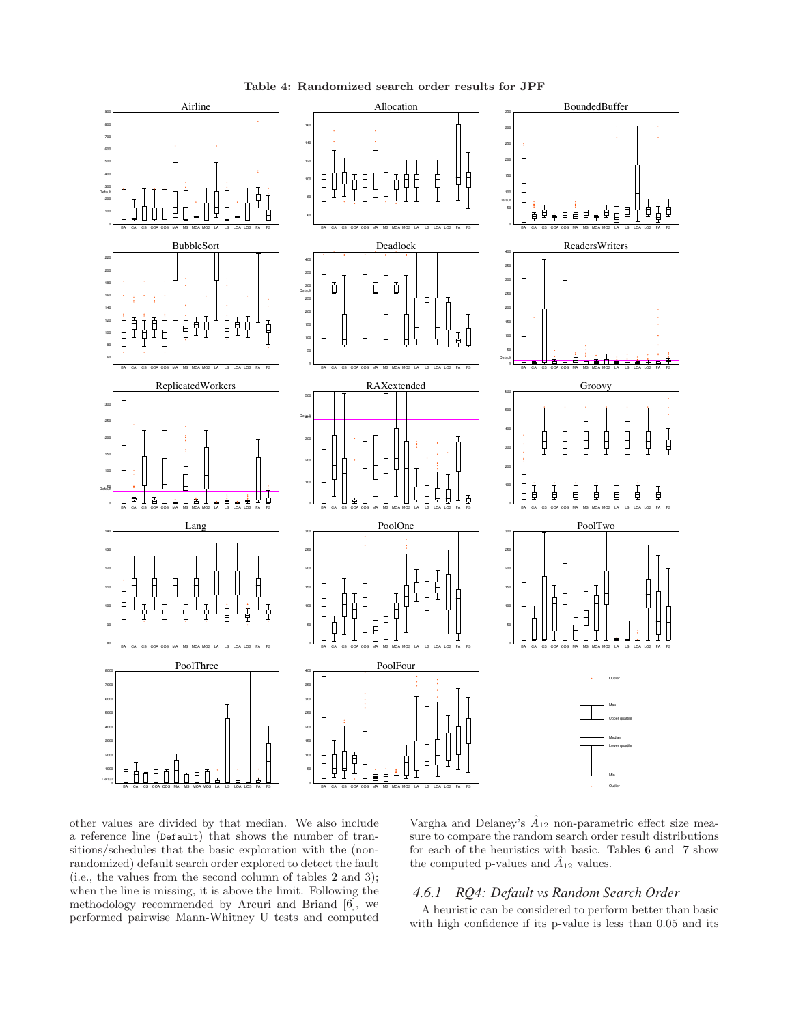

<span id="page-7-0"></span>Table 4: Randomized search order results for JPF

other values are divided by that median. We also include a reference line (Default) that shows the number of transitions/schedules that the basic exploration with the (nonrandomized) default search order explored to detect the fault (i.e., the values from the second column of tables [2](#page-6-0) and [3\)](#page-6-1); when the line is missing, it is above the limit. Following the methodology recommended by Arcuri and Briand [\[6\]](#page-10-32), we performed pairwise Mann-Whitney U tests and computed Vargha and Delaney's  $\hat{A}_{12}$  non-parametric effect size measure to compare the random search order result distributions for each of the heuristics with basic. Tables [6](#page-9-0) and [7](#page-9-1) show the computed p-values and  $\hat{A}_{12}$  values.

#### *4.6.1 RQ4: Default vs Random Search Order*

A heuristic can be considered to perform better than basic with high confidence if its p-value is less than 0.05 and its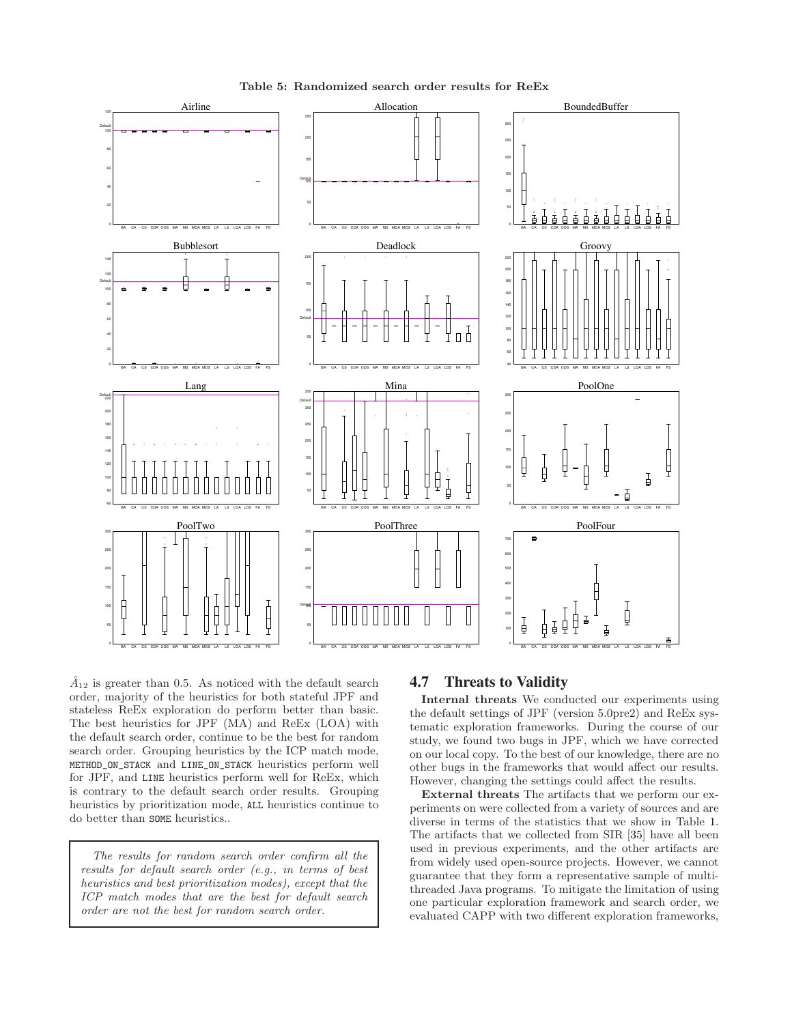

<span id="page-8-0"></span>Table 5: Randomized search order results for ReEx

 $\hat{A}_{12}$  is greater than 0.5. As noticed with the default search order, majority of the heuristics for both stateful JPF and stateless ReEx exploration do perform better than basic. The best heuristics for JPF (MA) and ReEx (LOA) with the default search order, continue to be the best for random search order. Grouping heuristics by the ICP match mode, METHOD\_ON\_STACK and LINE\_ON\_STACK heuristics perform well for JPF, and LINE heuristics perform well for ReEx, which is contrary to the default search order results. Grouping heuristics by prioritization mode, ALL heuristics continue to do better than SOME heuristics..

*The results for random search order confirm all the results for default search order (e.g., in terms of best heuristics and best prioritization modes), except that the ICP match modes that are the best for default search order are not the best for random search order.*

# **4.7 Threats to Validity**

Internal threats We conducted our experiments using the default settings of JPF (version 5.0pre2) and ReEx systematic exploration frameworks. During the course of our study, we found two bugs in JPF, which we have corrected on our local copy. To the best of our knowledge, there are no other bugs in the frameworks that would affect our results. However, changing the settings could affect the results.

External threats The artifacts that we perform our experiments on were collected from a variety of sources and are diverse in terms of the statistics that we show in Table [1.](#page-5-0) The artifacts that we collected from SIR [\[35\]](#page-10-24) have all been used in previous experiments, and the other artifacts are from widely used open-source projects. However, we cannot guarantee that they form a representative sample of multithreaded Java programs. To mitigate the limitation of using one particular exploration framework and search order, we evaluated CAPP with two different exploration frameworks,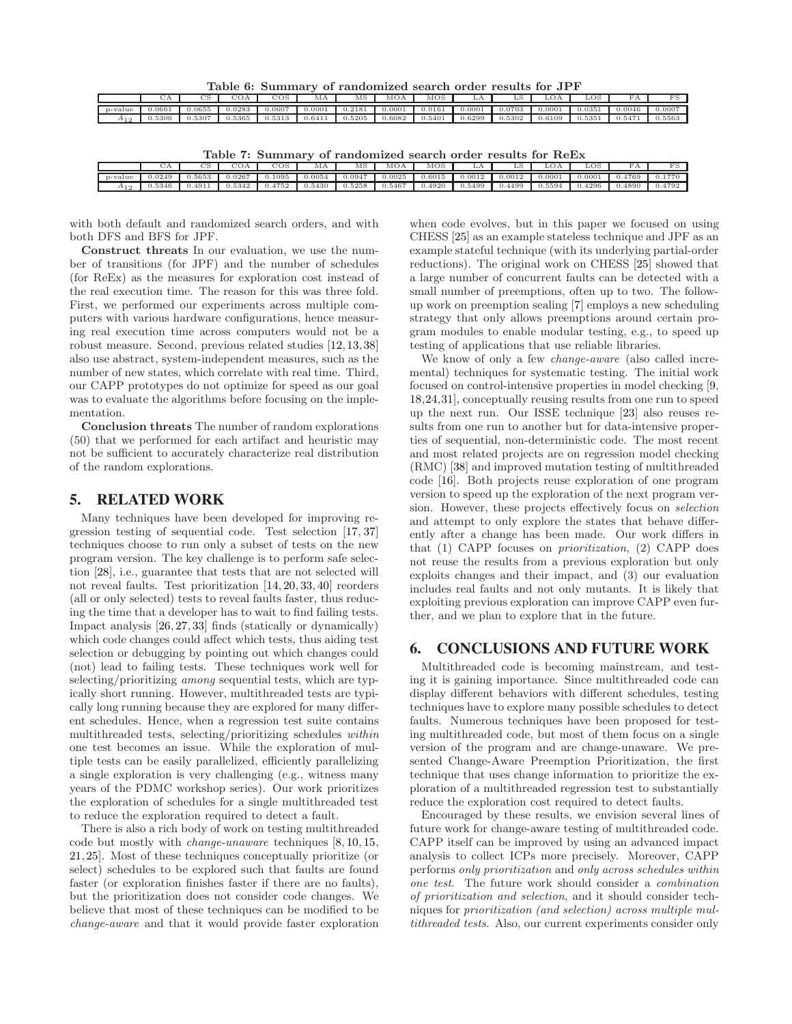<span id="page-9-0"></span>Table 6: Summary of randomized search order results for JPF

|         |        |        |        | ____<br>____ |        | _____              | _____  |        | _____  | ______<br>_____ |        |        |              |        |
|---------|--------|--------|--------|--------------|--------|--------------------|--------|--------|--------|-----------------|--------|--------|--------------|--------|
|         | ◡bold  | ىب     | ◡◡bold | $\cos$       | 111T   | JVI 2              | MOA    | MOS    | ⊥∴     | ப               | LUA.   | ച∪ാ    | .            |        |
| ə-value | 0.0661 | 0.0655 | 0.0283 | 0.0607       | 0.0001 | 1.0101<br><u>.</u> | 0.0001 | 0.0161 | 0.0001 | 0.0703          | 0.0001 | 0.0351 | 0.0046       | 0.000' |
|         | 0.5306 | 0.5307 | 0.5365 | 0.5313       | 0.6411 | 0.5205             | 0.6082 | 0.5401 | 0.6299 | 0.5302          | 0.6109 | 0.5351 | --<br>0.0411 | 0.5563 |

<span id="page-9-1"></span>

|            |        | CH CH.<br>ాం | ' JO A | COS            | $\sqrt{2}$<br>IVI P | .r.c<br>IVI O | MOA    | MOS    | LΡ     | $\overline{a}$ | LOA    | LOS    | .      |        |
|------------|--------|--------------|--------|----------------|---------------------|---------------|--------|--------|--------|----------------|--------|--------|--------|--------|
| p-value    | 0.0249 | 0.5653       | 0.0267 | 0.1095         | 0.0054              | 0.0947        | 0.0025 | 0.6015 | J.0012 | $_{0.0012}$    | 0.0001 | 0.0001 | 0.4769 | 0.1770 |
| A 1 9<br>∸ | 0.5346 | 0.4911       | 0.5342 | オワロイ<br>U.4132 | 0.5430              | 0.5258        | J.5467 | 0.4920 | 0.5499 | 0.4499         | 0.5594 | 4296   | 0.4890 | 0.4792 |

with both default and randomized search orders, and with both DFS and BFS for JPF.

Construct threats In our evaluation, we use the number of transitions (for JPF) and the number of schedules (for ReEx) as the measures for exploration cost instead of the real execution time. The reason for this was three fold. First, we performed our experiments across multiple computers with various hardware configurations, hence measuring real execution time across computers would not be a robust measure. Second, previous related studies [\[12,](#page-10-31)[13,](#page-10-30)[38\]](#page-10-7) also use abstract, system-independent measures, such as the number of new states, which correlate with real time. Third, our CAPP prototypes do not optimize for speed as our goal was to evaluate the algorithms before focusing on the implementation.

Conclusion threats The number of random explorations (50) that we performed for each artifact and heuristic may not be sufficient to accurately characterize real distribution of the random explorations.

## **5. RELATED WORK**

Many techniques have been developed for improving regression testing of sequential code. Test selection [\[17,](#page-10-9) [37\]](#page-10-10) techniques choose to run only a subset of tests on the new program version. The key challenge is to perform safe selection [\[28\]](#page-10-33), i.e., guarantee that tests that are not selected will not reveal faults. Test prioritization [\[14,](#page-10-11) [20,](#page-10-12) [33,](#page-10-14) [40\]](#page-10-13) reorders (all or only selected) tests to reveal faults faster, thus reducing the time that a developer has to wait to find failing tests. Impact analysis [\[26,](#page-10-19) [27,](#page-10-20) [33\]](#page-10-14) finds (statically or dynamically) which code changes could affect which tests, thus aiding test selection or debugging by pointing out which changes could (not) lead to failing tests. These techniques work well for selecting/prioritizing *among* sequential tests, which are typically short running. However, multithreaded tests are typically long running because they are explored for many different schedules. Hence, when a regression test suite contains multithreaded tests, selecting/prioritizing schedules *within* one test becomes an issue. While the exploration of multiple tests can be easily parallelized, efficiently parallelizing a single exploration is very challenging (e.g., witness many years of the PDMC workshop series). Our work prioritizes the exploration of schedules for a single multithreaded test to reduce the exploration required to detect a fault.

There is also a rich body of work on testing multithreaded code but mostly with *change-unaware* techniques [\[8,](#page-10-0) [10,](#page-10-1) [15,](#page-10-2) [21,](#page-10-3) [25\]](#page-10-4). Most of these techniques conceptually prioritize (or select) schedules to be explored such that faults are found faster (or exploration finishes faster if there are no faults), but the prioritization does not consider code changes. We believe that most of these techniques can be modified to be *change-aware* and that it would provide faster exploration

when code evolves, but in this paper we focused on using CHESS [\[25\]](#page-10-4) as an example stateless technique and JPF as an example stateful technique (with its underlying partial-order reductions). The original work on CHESS [\[25\]](#page-10-4) showed that a large number of concurrent faults can be detected with a small number of preemptions, often up to two. The followup work on preemption sealing [\[7\]](#page-10-34) employs a new scheduling strategy that only allows preemptions around certain program modules to enable modular testing, e.g., to speed up testing of applications that use reliable libraries.

We know of only a few *change-aware* (also called incremental) techniques for systematic testing. The initial work focused on control-intensive properties in model checking [\[9,](#page-10-35) [18,](#page-10-36)[24](#page-10-37)[,31\]](#page-10-38), conceptually reusing results from one run to speed up the next run. Our ISSE technique [\[23\]](#page-10-39) also reuses results from one run to another but for data-intensive properties of sequential, non-deterministic code. The most recent and most related projects are on regression model checking (RMC) [\[38\]](#page-10-7) and improved mutation testing of multithreaded code [\[16\]](#page-10-6). Both projects reuse exploration of one program version to speed up the exploration of the next program version. However, these projects effectively focus on *selection* and attempt to only explore the states that behave differently after a change has been made. Our work differs in that (1) CAPP focuses on *prioritization*, (2) CAPP does not reuse the results from a previous exploration but only exploits changes and their impact, and (3) our evaluation includes real faults and not only mutants. It is likely that exploiting previous exploration can improve CAPP even further, and we plan to explore that in the future.

## **6. CONCLUSIONS AND FUTURE WORK**

Multithreaded code is becoming mainstream, and testing it is gaining importance. Since multithreaded code can display different behaviors with different schedules, testing techniques have to explore many possible schedules to detect faults. Numerous techniques have been proposed for testing multithreaded code, but most of them focus on a single version of the program and are change-unaware. We presented Change-Aware Preemption Prioritization, the first technique that uses change information to prioritize the exploration of a multithreaded regression test to substantially reduce the exploration cost required to detect faults.

Encouraged by these results, we envision several lines of future work for change-aware testing of multithreaded code. CAPP itself can be improved by using an advanced impact analysis to collect ICPs more precisely. Moreover, CAPP performs *only prioritization* and *only across schedules within one test*. The future work should consider a *combination of prioritization and selection*, and it should consider techniques for *prioritization (and selection) across multiple multithreaded tests*. Also, our current experiments consider only